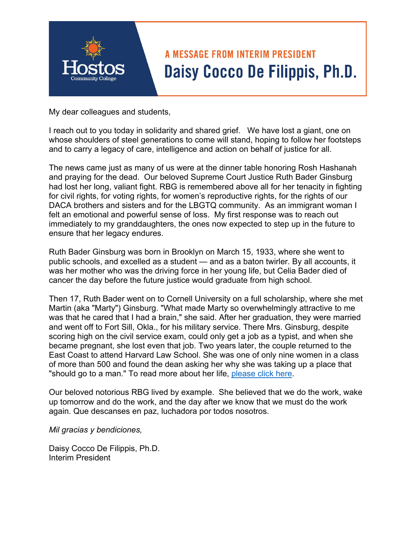

My dear colleagues and students,

I reach out to you today in solidarity and shared grief. We have lost a giant, one on whose shoulders of steel generations to come will stand, hoping to follow her footsteps and to carry a legacy of care, intelligence and action on behalf of justice for all.

The news came just as many of us were at the dinner table honoring Rosh Hashanah and praying for the dead. Our beloved Supreme Court Justice Ruth Bader Ginsburg had lost her long, valiant fight. RBG is remembered above all for her tenacity in fighting for civil rights, for voting rights, for women's reproductive rights, for the rights of our DACA brothers and sisters and for the LBGTQ community. As an immigrant woman I felt an emotional and powerful sense of loss. My first response was to reach out immediately to my granddaughters, the ones now expected to step up in the future to ensure that her legacy endures.

Ruth Bader Ginsburg was born in Brooklyn on March 15, 1933, where she went to public schools, and excelled as a student — and as a baton twirler. By all accounts, it was her mother who was the driving force in her young life, but Celia Bader died of cancer the day before the future justice would graduate from high school.

Then 17, Ruth Bader went on to Cornell University on a full scholarship, where she met Martin (aka "Marty") Ginsburg. "What made Marty so overwhelmingly attractive to me was that he cared that I had a brain," she said. After her graduation, they were married and went off to Fort Sill, Okla., for his military service. There Mrs. Ginsburg, despite scoring high on the civil service exam, could only get a job as a typist, and when she became pregnant, she lost even that job. Two years later, the couple returned to the East Coast to attend Harvard Law School. She was one of only nine women in a class of more than 500 and found the dean asking her why she was taking up a place that "should go to a man." To read more about her life, [please click here](https://www.npr.org/2020/09/18/100306972/justice-ruth-bader-ginsburg-champion-of-gender-equality-dies-at-87).

Our beloved notorious RBG lived by example. She believed that we do the work, wake up tomorrow and do the work, and the day after we know that we must do the work again. Que descanses en paz, luchadora por todos nosotros.

*Mil gracias y bendiciones,* 

Daisy Cocco De Filippis, Ph.D. Interim President